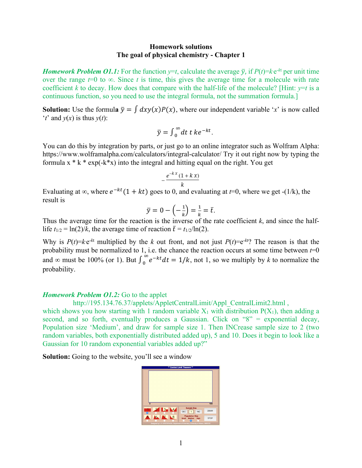## **Homework solutions The goal of physical chemistry - Chapter 1**

*Homework Problem O1.1:* For the function  $y=t$ , calculate the average  $\bar{y}$ , if  $P(t)=k e^{-kt}$  per unit time over the range  $t=0$  to  $\infty$ . Since *t* is time, this gives the average time for a molecule with rate coefficient *k* to decay. How does that compare with the half-life of the molecule? [Hint:  $y=t$  is a continuous function, so you need to use the integral formula, not the summation formula.]

**Solution:** Use the formula  $\bar{v} = \int dx v(x)P(x)$ , where our independent variable '*x*' is now called  $'t'$  and  $y(x)$  is thus  $y(t)$ :

$$
\bar{y} = \int_0^\infty dt \ t \ ke^{-kt}.
$$

You can do this by integration by parts, or just go to an online integrator such as Wolfram Alpha: https://www.wolframalpha.com/calculators/integral-calculator/ Try it out right now by typing the formula  $x * k * exp(-k*x)$  into the integral and hitting equal on the right. You get

$$
-\frac{e^{-kx}(1+kx)}{k}
$$

Evaluating at ∞, where  $e^{-kt}(1 + kt)$  goes to 0, and evaluating at *t*=0, where we get -(1/k), the result is

$$
\bar{y} = 0 - \left(-\frac{1}{k}\right) = \frac{1}{k} = \bar{t}.
$$

Thus the average time for the reaction is the inverse of the rate coefficient *k*, and since the halflife  $t_{1/2} = \ln(2)/k$ , the average time of reaction  $\bar{t} = t_{1/2}/\ln(2)$ .

Why is  $P(t) = k e^{-kt}$  multiplied by the *k* out front, and not just  $P(t) = e^{-kt}$ ? The reason is that the probability must be normalized to 1, i.e. the chance the reaction occurs at some time between *t*=0 and  $\infty$  must be 100% (or 1). But  $\int_0^{\infty} e^{-kt} dt = 1/k$ , not 1, so we multiply by k to normalize the probability.

## *Homework Problem O1.2:* Go to the applet

http://195.134.76.37/applets/AppletCentralLimit/Appl\_CentralLimit2.html ,

which shows you how starting with 1 random variable  $X_1$  with distribution  $P(X_1)$ , then adding a second, and so forth, eventually produces a Gaussian. Click on "8" = exponential decay, Population size 'Medium', and draw for sample size 1. Then INCrease sample size to 2 (two random variables, both exponentially distributed added up), 5 and 10. Does it begin to look like a Gaussian for 10 random exponential variables added up?"

**Solution:** Going to the website, you'll see a window

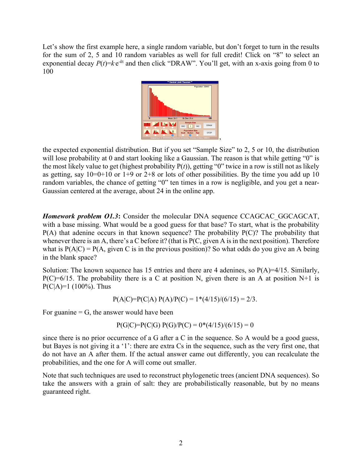Let's show the first example here, a single random variable, but don't forget to turn in the results for the sum of 2, 5 and 10 random variables as well for full credit! Click on "8" to select an exponential decay  $P(t)=ke^{-kt}$  and then click "DRAW". You'll get, with an x-axis going from 0 to 100



the expected exponential distribution. But if you set "Sample Size" to 2, 5 or 10, the distribution will lose probability at 0 and start looking like a Gaussian. The reason is that while getting "0" is the most likely value to get (highest probability P(*t*)), getting "0" twice in a row is still not as likely as getting, say  $10=0+10$  or  $1+9$  or  $2+8$  or lots of other possibilities. By the time you add up 10 random variables, the chance of getting "0" ten times in a row is negligible, and you get a near-Gaussian centered at the average, about 24 in the online app.

*Homework problem O1.3***:** Consider the molecular DNA sequence CCAGCAC GGCAGCAT, with a base missing. What would be a good guess for that base? To start, what is the probability  $P(A)$  that adenine occurs in that known sequence? The probability  $P(C)$ ? The probability that whenever there is an A, there's a C before it? (that is P(C, given A is in the next position). Therefore what is  $P(A|C) = P(A, given C$  is in the previous position)? So what odds do you give an A being in the blank space?

Solution: The known sequence has 15 entries and there are 4 adenines, so  $P(A)=4/15$ . Similarly,  $P(C)=6/15$ . The probability there is a C at position N, given there is an A at position N+1 is  $P(C|A)=1$  (100%). Thus

$$
P(A|C)=P(C|A) P(A)/P(C) = 1*(4/15)/(6/15) = 2/3.
$$

For guanine  $=$  G, the answer would have been

$$
P(G|C)=P(C|G) P(G)/P(C) = 0*(4/15)/(6/15) = 0
$$

since there is no prior occurrence of a G after a C in the sequence. So A would be a good guess, but Bayes is not giving it a '1': there are extra Cs in the sequence, such as the very first one, that do not have an A after them. If the actual answer came out differently, you can recalculate the probabilities, and the one for A will come out smaller.

Note that such techniques are used to reconstruct phylogenetic trees (ancient DNA sequences). So take the answers with a grain of salt: they are probabilistically reasonable, but by no means guaranteed right.